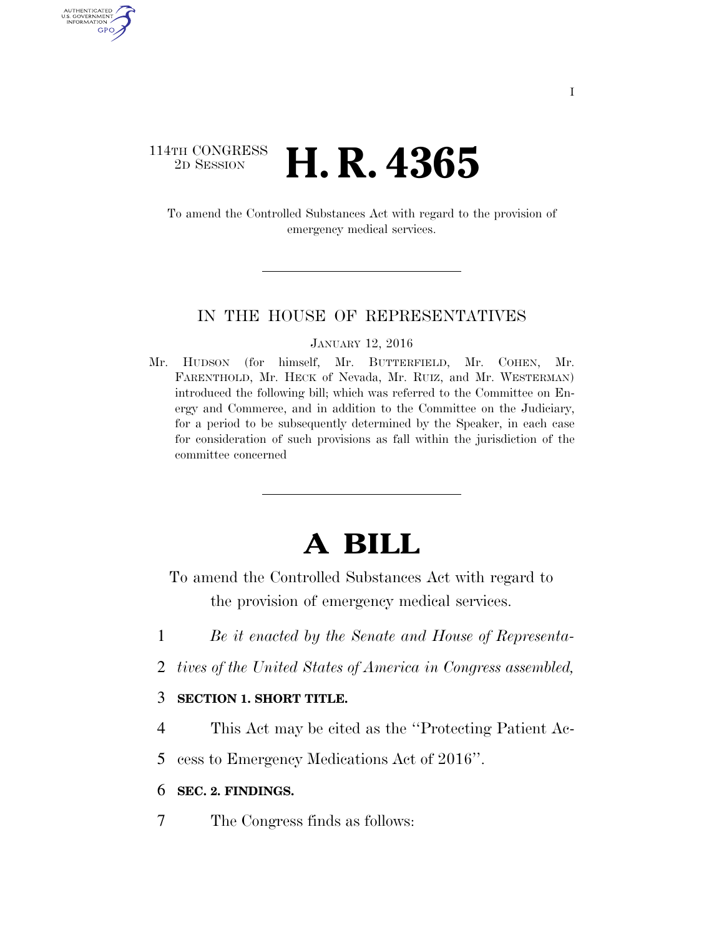# 114TH CONGRESS <sup>2D SESSION</sup> **H. R. 4365**

AUTHENTICATED U.S. GOVERNMENT GPO

> To amend the Controlled Substances Act with regard to the provision of emergency medical services.

#### IN THE HOUSE OF REPRESENTATIVES

#### JANUARY 12, 2016

Mr. HUDSON (for himself, Mr. BUTTERFIELD, Mr. COHEN, Mr. FARENTHOLD, Mr. HECK of Nevada, Mr. RUIZ, and Mr. WESTERMAN) introduced the following bill; which was referred to the Committee on Energy and Commerce, and in addition to the Committee on the Judiciary, for a period to be subsequently determined by the Speaker, in each case for consideration of such provisions as fall within the jurisdiction of the committee concerned

# **A BILL**

To amend the Controlled Substances Act with regard to the provision of emergency medical services.

- 1 *Be it enacted by the Senate and House of Representa-*
- 2 *tives of the United States of America in Congress assembled,*

## 3 **SECTION 1. SHORT TITLE.**

4 This Act may be cited as the ''Protecting Patient Ac-

5 cess to Emergency Medications Act of 2016''.

### 6 **SEC. 2. FINDINGS.**

7 The Congress finds as follows: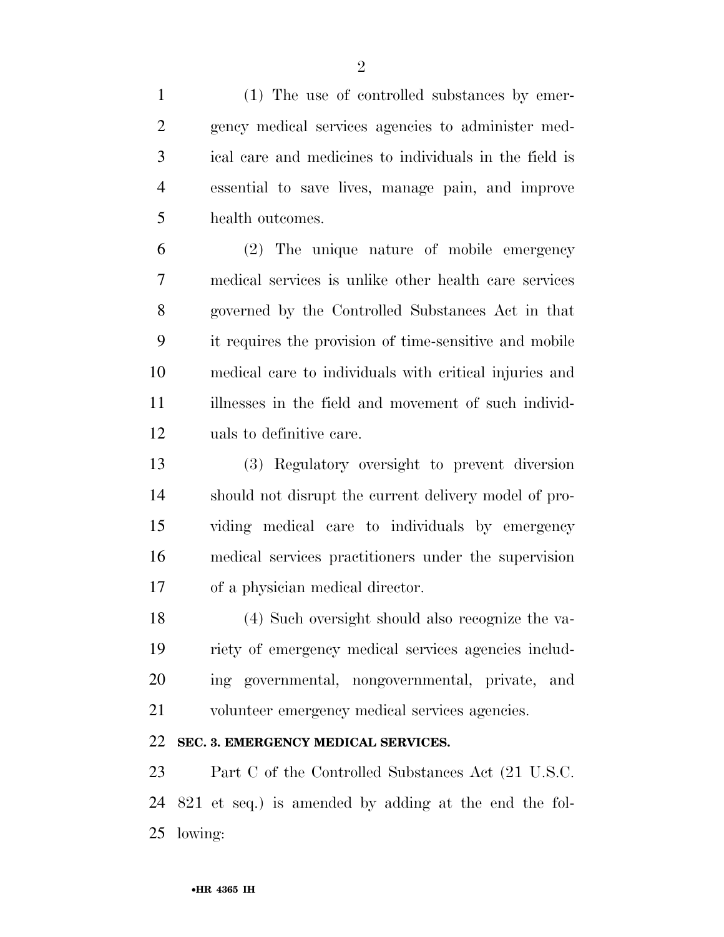(1) The use of controlled substances by emer- gency medical services agencies to administer med- ical care and medicines to individuals in the field is essential to save lives, manage pain, and improve health outcomes.

 (2) The unique nature of mobile emergency medical services is unlike other health care services governed by the Controlled Substances Act in that it requires the provision of time-sensitive and mobile medical care to individuals with critical injuries and illnesses in the field and movement of such individ-uals to definitive care.

 (3) Regulatory oversight to prevent diversion should not disrupt the current delivery model of pro- viding medical care to individuals by emergency medical services practitioners under the supervision of a physician medical director.

 (4) Such oversight should also recognize the va- riety of emergency medical services agencies includ- ing governmental, nongovernmental, private, and volunteer emergency medical services agencies.

# **SEC. 3. EMERGENCY MEDICAL SERVICES.**

 Part C of the Controlled Substances Act (21 U.S.C. 821 et seq.) is amended by adding at the end the fol-lowing: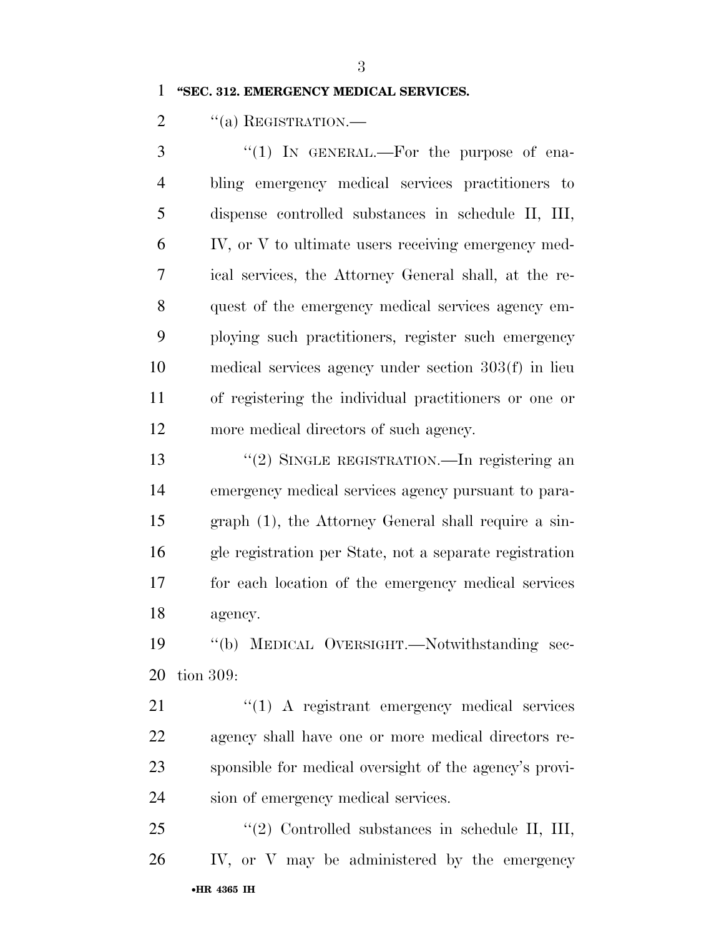#### **''SEC. 312. EMERGENCY MEDICAL SERVICES.**

2 "(a) REGISTRATION.

3 "(1) IN GENERAL.—For the purpose of ena- bling emergency medical services practitioners to dispense controlled substances in schedule II, III, IV, or V to ultimate users receiving emergency med- ical services, the Attorney General shall, at the re- quest of the emergency medical services agency em- ploying such practitioners, register such emergency medical services agency under section 303(f) in lieu of registering the individual practitioners or one or more medical directors of such agency.

13 "(2) SINGLE REGISTRATION.—In registering an emergency medical services agency pursuant to para- graph (1), the Attorney General shall require a sin- gle registration per State, not a separate registration for each location of the emergency medical services agency.

 ''(b) MEDICAL OVERSIGHT.—Notwithstanding sec-tion 309:

21 "(1) A registrant emergency medical services agency shall have one or more medical directors re- sponsible for medical oversight of the agency's provi-sion of emergency medical services.

•**HR 4365 IH** ''(2) Controlled substances in schedule II, III, IV, or V may be administered by the emergency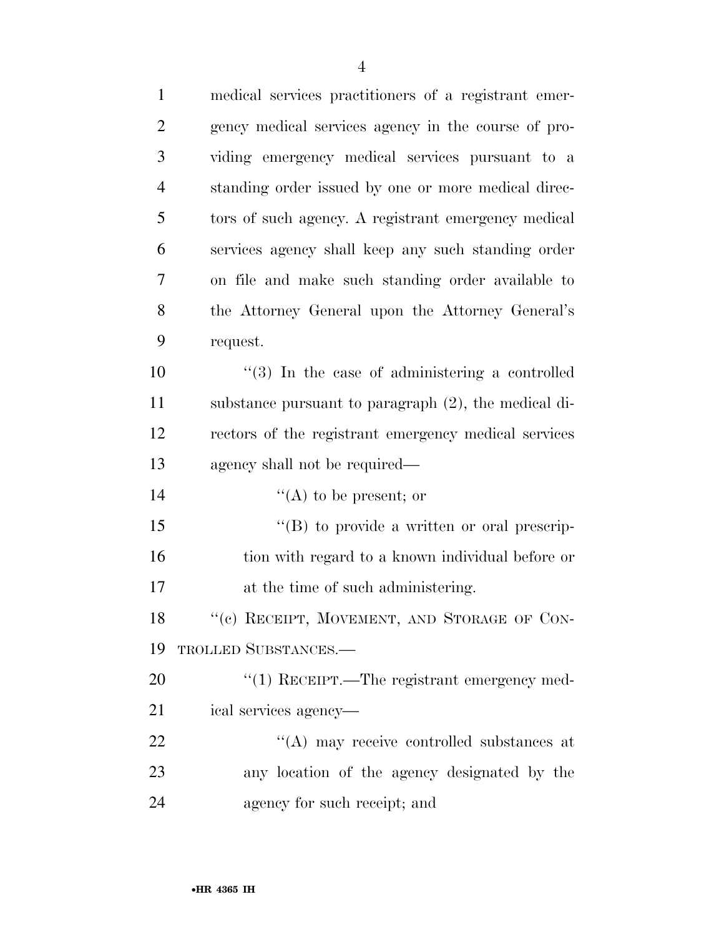| $\mathbf{1}$   | medical services practitioners of a registrant emer-   |
|----------------|--------------------------------------------------------|
| $\overline{2}$ | gency medical services agency in the course of pro-    |
| 3              | viding emergency medical services pursuant to a        |
| $\overline{4}$ | standing order issued by one or more medical direc-    |
| 5              | tors of such agency. A registrant emergency medical    |
| 6              | services agency shall keep any such standing order     |
| 7              | on file and make such standing order available to      |
| 8              | the Attorney General upon the Attorney General's       |
| 9              | request.                                               |
| 10             | $\lq(3)$ In the case of administering a controlled     |
| 11             | substance pursuant to paragraph (2), the medical di-   |
| 12             | rectors of the registrant emergency medical services   |
| 13             | agency shall not be required—                          |
| 14             | "(A) to be present; or                                 |
| 15             | $\lq\lq (B)$ to provide a written or oral prescrip-    |
| 16             | tion with regard to a known individual before or       |
| 17             | at the time of such administering.                     |
| 18             | "(c) RECEIPT, MOVEMENT, AND STORAGE OF CON-            |
| 19             | TROLLED SUBSTANCES.-                                   |
| 20             | $\cdot\cdot(1)$ RECEIPT.—The registrant emergency med- |
| 21             | ical services agency-                                  |
| 22             | "(A) may receive controlled substances at              |
| 23             | any location of the agency designated by the           |
| 24             | agency for such receipt; and                           |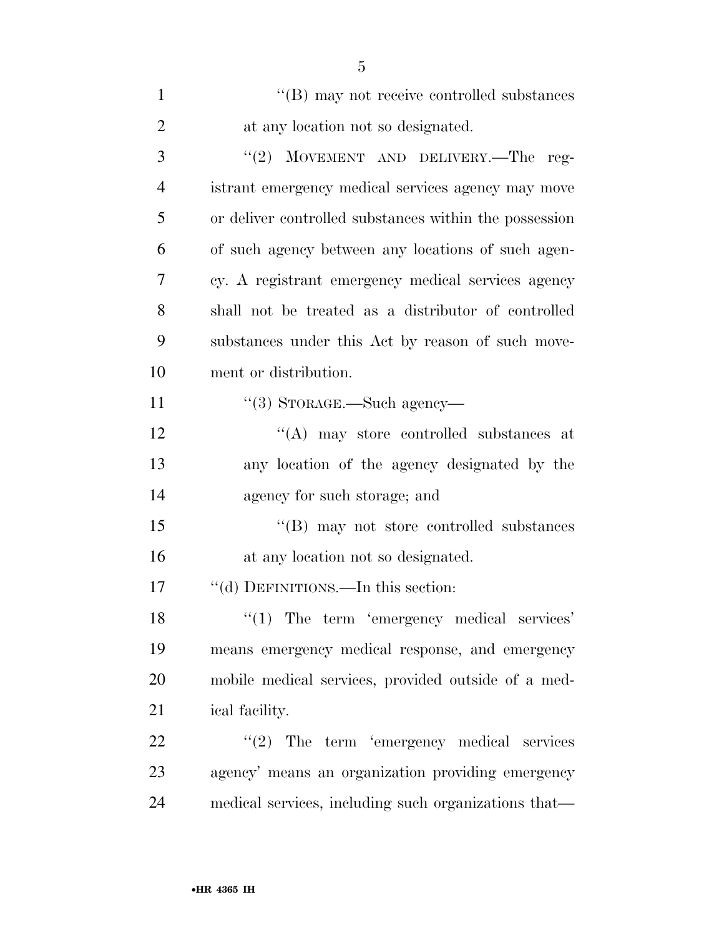| $\mathbf{1}$   | "(B) may not receive controlled substances             |
|----------------|--------------------------------------------------------|
| $\overline{2}$ | at any location not so designated.                     |
| 3              | "(2) MOVEMENT AND DELIVERY.—The reg-                   |
| $\overline{4}$ | istrant emergency medical services agency may move     |
| 5              | or deliver controlled substances within the possession |
| 6              | of such agency between any locations of such agen-     |
| 7              | cy. A registrant emergency medical services agency     |
| 8              | shall not be treated as a distributor of controlled    |
| 9              | substances under this Act by reason of such move-      |
| 10             | ment or distribution.                                  |
| 11             | $\lq(3)$ STORAGE.—Such agency—                         |
| 12             | $\lq\lq$ may store controlled substances at            |
| 13             | any location of the agency designated by the           |
| 14             | agency for such storage; and                           |
| 15             | $\lq\lq (B)$ may not store controlled substances       |
| 16             | at any location not so designated.                     |
| 17             | "(d) DEFINITIONS.—In this section:                     |
| 18             | $\lq(1)$ The term 'emergency medical services'         |
| 19             | means emergency medical response, and emergency        |
| 20             | mobile medical services, provided outside of a med-    |
| 21             | ical facility.                                         |
| 22             | $"(2)$ The term 'emergency medical services            |
| 23             | agency' means an organization providing emergency      |
| 24             | medical services, including such organizations that—   |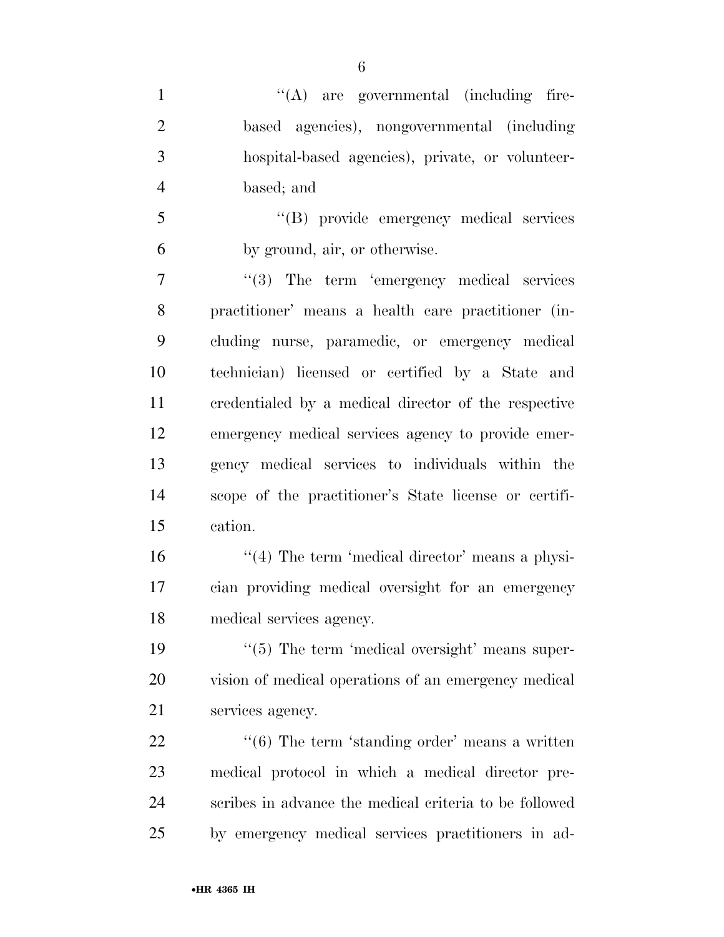''(A) are governmental (including fire- based agencies), nongovernmental (including hospital-based agencies), private, or volunteer-based; and

 ''(B) provide emergency medical services by ground, air, or otherwise.

7 ''(3) The term 'emergency medical services practitioner' means a health care practitioner (in- cluding nurse, paramedic, or emergency medical technician) licensed or certified by a State and credentialed by a medical director of the respective emergency medical services agency to provide emer- gency medical services to individuals within the scope of the practitioner's State license or certifi-cation.

16 ''(4) The term 'medical director' means a physi- cian providing medical oversight for an emergency medical services agency.

19  $\frac{1}{5}$  The term 'medical oversight' means super- vision of medical operations of an emergency medical services agency.

22 ''(6) The term 'standing order' means a written medical protocol in which a medical director pre- scribes in advance the medical criteria to be followed by emergency medical services practitioners in ad-